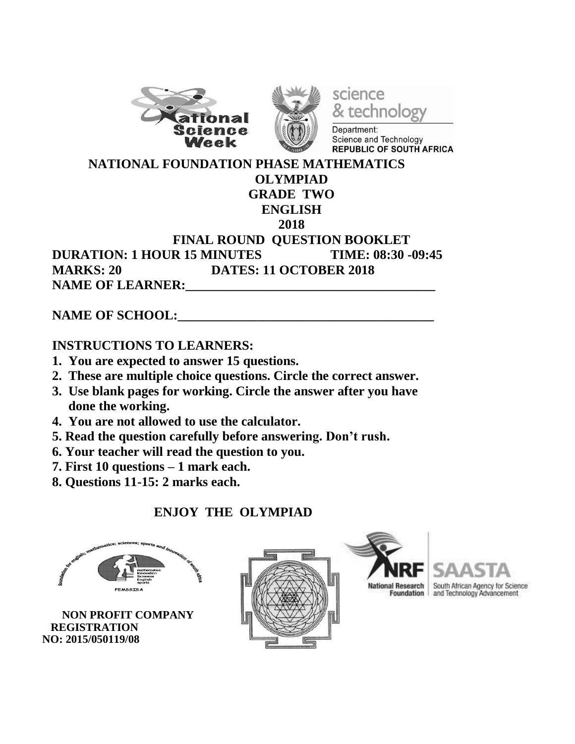





Department: Science and Technology REPUBLIC OF SOUTH AFRICA

 **NATIONAL FOUNDATION PHASE MATHEMATICS OLYMPIAD**

# **GRADE TWO**

#### **ENGLISH**

**2018**

#### **FINAL ROUND QUESTION BOOKLET DURATION: 1 HOUR 15 MINUTES TIME: 08:30 -09:45 MARKS: 20 DATES: 11 OCTOBER 2018 NAME OF LEARNER:**

#### **NAME OF SCHOOL:**

## **INSTRUCTIONS TO LEARNERS:**

- **1. You are expected to answer 15 questions.**
- **2. These are multiple choice questions. Circle the correct answer.**
- **3. Use blank pages for working. Circle the answer after you have done the working.**
- **4. You are not allowed to use the calculator.**
- **5. Read the question carefully before answering. Don't rush.**
- **6. Your teacher will read the question to you.**
- **7. First 10 questions – 1 mark each.**
- **8. Questions 11-15: 2 marks each.**

## **ENJOY THE OLYMPIAD**



 **NON PROFIT COMPANY REGISTRATION NO: 2015/050119/08**





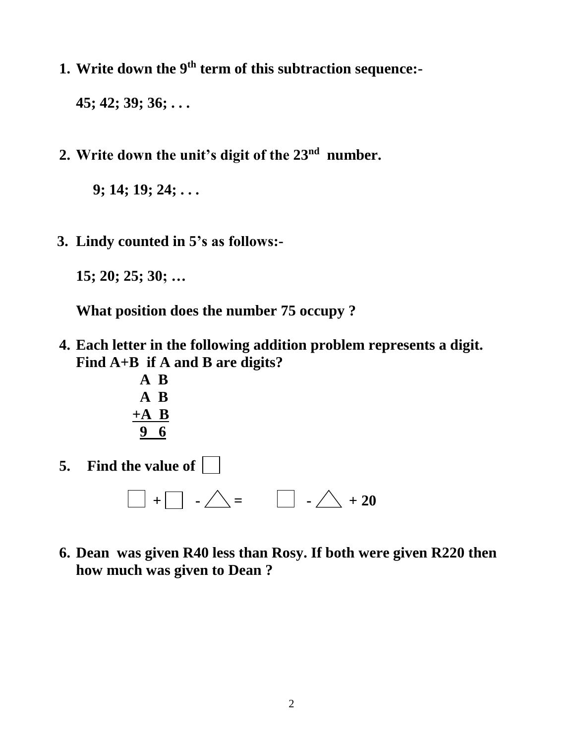**1. Write down the 9 th term of this subtraction sequence:-**

**45; 42; 39; 36; . . .**

**2. Write down the unit's digit of the 23nd number.**

**9; 14; 19; 24; . . .** 

 **3. Lindy counted in 5's as follows:-**

**15; 20; 25; 30; …**

**What position does the number 75 occupy ?** 

**4. Each letter in the following addition problem represents a digit. Find A+B if A and B are digits?**



**5. Find the value of** 

 $\Box$  +  $\Box$  -  $\triangle$  =  $\Box$  -  $\triangle$  + 20

**6. Dean was given R40 less than Rosy. If both were given R220 then how much was given to Dean ?**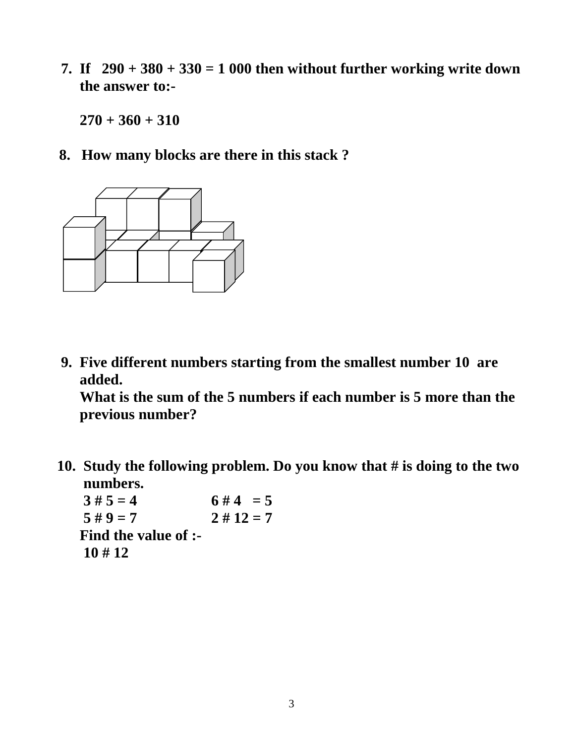**7.** If  $290 + 380 + 330 = 1000$  then without further working write down  **the answer to:-**

**270 + 360 + 310**

**8. How many blocks are there in this stack ?**



 **9. Five different numbers starting from the smallest number 10 are added.**

**What is the sum of the 5 numbers if each number is 5 more than the previous number?**

 **10. Study the following problem. Do you know that # is doing to the two numbers.**

 $3 \# 5 = 4$  **6**  $\# 4 = 5$  $5 \# 9 = 7$   $2 \# 12 = 7$ **Find the value of :- 10 # 12**